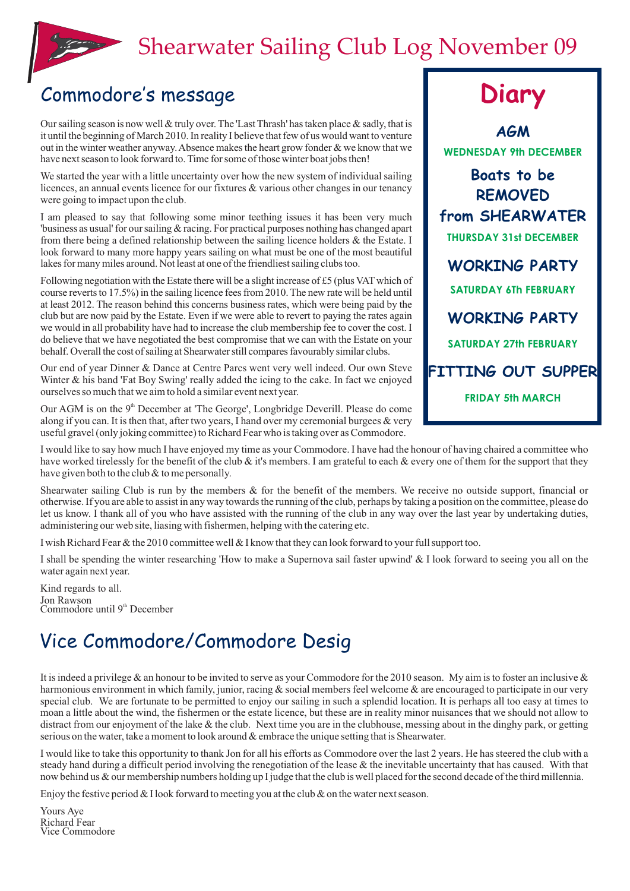## Shearwater Sailing Club Log November 09



## Commodore's message **Diary**

Our sailing season is now well & truly over. The 'Last Thrash' has taken place & sadly, that is<br>it until the beginning of March 2010. In reality I believe that few of us would want to venture out in the winter weather anyway. Absence makes the heart grow fonder  $\&$  we know that we have next season to look forward to. Time for some of those winter boat jobs then!

We started the year with a little uncertainty over how the new system of individual sailing licences, an annual events licence for our fixtures & various other changes in our tenancy were going to impact upon the club.

I am pleased to say that following some minor teething issues it has been very much 'business as usual' for our sailing & racing. For practical purposes nothing has changed apart from there being a defined relationship between the sailing licence holders & the Estate. I look forward to many more happy years sailing on what must be one of the most beautiful lakes for many miles around. Not least at one of the friendliest sailing clubs too.

Following negotiation with the Estate there will be a slight increase of £5 (plus VAT which of course reverts to 17.5%) in the sailing licence fees from 2010. The new rate will be held until at least 2012. The reason behind this concerns business rates, which were being paid by the club but are now paid by the Estate. Even if we were able to revert to paying the rates again we would in all probability have had to increase the club membership fee to cover the cost. I do believe that we have negotiated the best compromise that we can with the Estate on your behalf. Overall the cost of sailing at Shearwater still compares favourably similar clubs.

Our end of year Dinner & Dance at Centre Parcs went very well indeed. Our own Steve Winter & his band 'Fat Boy Swing' really added the icing to the cake. In fact we enjoyed ourselves so much that we aim to hold a similar event next year.

Our AGM is on the 9<sup>th</sup> December at 'The George', Longbridge Deverill. Please do come along if you can. It is then that, after two years, I hand over my ceremonial burgees  $\&$  very useful gravel (only joking committee) to Richard Fear who is taking over as Commodore.

**Boats to be REMOVED from SHEARWATER THURSDAY 31st DECEMBER SATURDAY 27th FEBRUARY SATURDAY 6Th FEBRUARY WORKING PARTY FITTING OUT SUPPER WORKING PARTY FRIDAY 5th MARCH WEDNESDAY 9th DECEMBER**

I would like to say how much I have enjoyed my time as your Commodore. I have had the honour of having chaired a committee who have worked tirelessly for the benefit of the club  $\&$  it's members. I am grateful to each  $\&$  every one of them for the support that they have given both to the club & to me personally.

Shearwater sailing Club is run by the members & for the benefit of the members. We receive no outside support, financial or otherwise. If you are able to assist in any way towards the running of the club, perhaps by taking a position on the committee, please do let us know. I thank all of you who have assisted with the running of the club in any way over the last year by undertaking duties, administering our web site, liasing with fishermen, helping with the catering etc.

I wish Richard Fear & the 2010 committee well & I know that they can look forward to your full support too.

I shall be spending the winter researching 'How to make a Supernova sail faster upwind' & I look forward to seeing you all on the water again next year.

Kind regards to all. Jon Rawson  $Commodore$  until  $9<sup>th</sup> December$ 

## Vice Commodore/Commodore Desig

It is indeed a privilege  $\&$  an honour to be invited to serve as your Commodore for the 2010 season. My aim is to foster an inclusive  $\&$ harmonious environment in which family, junior, racing & social members feel welcome & are encouraged to participate in our very special club. We are fortunate to be permitted to enjoy our sailing in such a splendid location. It is perhaps all too easy at times to moan a little about the wind, the fishermen or the estate licence, but these are in reality minor nuisances that we should not allow to distract from our enjoyment of the lake & the club. Next time you are in the clubhouse, messing about in the dinghy park, or getting serious on the water, take a moment to look around & embrace the unique setting that is Shearwater.

I would like to take this opportunity to thank Jon for all his efforts as Commodore over the last 2 years. He has steered the club with a steady hand during a difficult period involving the renegotiation of the lease & the inevitable uncertainty that has caused. With that now behind us & our membership numbers holding up I judge that the club is well placed for the second decade of the third millennia.

Enjoy the festive period  $&I$  look forward to meeting you at the club  $&$  on the water next season.

Yours Aye Richard Fear Vice Commodore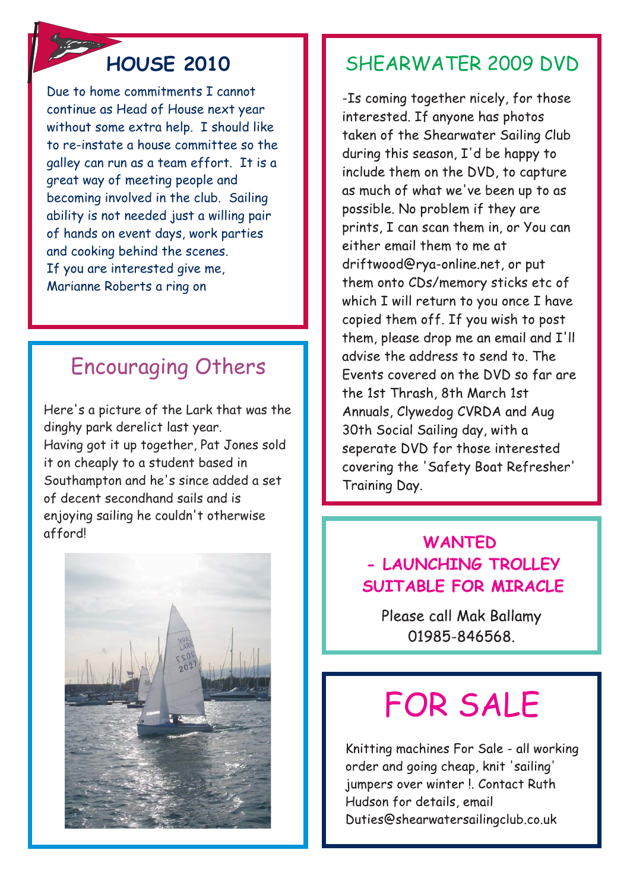## **HOUSE 2010**

Due to home commitments I cannot continue as Head of House next year without some extra help. I should like to re-instate a house committee so the galley can run as a team effort. It is a great way of meeting people and becoming involved in the club. Sailing ability is not needed just a willing pair of hands on event days, work parties and cooking behind the scenes. If you are interested give me, Marianne Roberts a ring on

## Encouraging Others

Here's a picture of the Lark that was the dinghy park derelict last year. Having got it up together, Pat Jones sold it on cheaply to a student based in Southampton and he's since added a set of decent secondhand sails and is enjoying sailing he couldn't otherwise afford!



## SHEARWATER 2009 DVD

-Is coming together nicely, for those interested. If anyone has photos taken of the Shearwater Sailing Club during this season, I'd be happy to include them on the DVD, to capture as much of what we've been up to as possible. No problem if they are prints. I can scan them in, or You can either email them to me at driftwood@rya-online.net, or put them onto CDs/memory sticks etc of which I will return to you once I have copied them off. If you wish to post them, please drop me an email and I'll advise the address to send to The Events covered on the DVD so far are the 1st Thrash, 8th March 1st Annuals, Clywedog CVRDA and Aug 30th Social Sailing day, with a seperate DVD for those interested covering the 'Safety Boat Refresher' Training Day.

## **WANTED - LAUNCHING TROLLEY SUITABLE FOR MIRACLE**

Please call Mak Ballamy 01985-846568

# FOR SALE

Knitting machines For Sale - all working order and going cheap, knit 'sailing' jumpers over winter !. Contact Ruth Hudson for details, email Duties@shearwatersailingclub.co.uk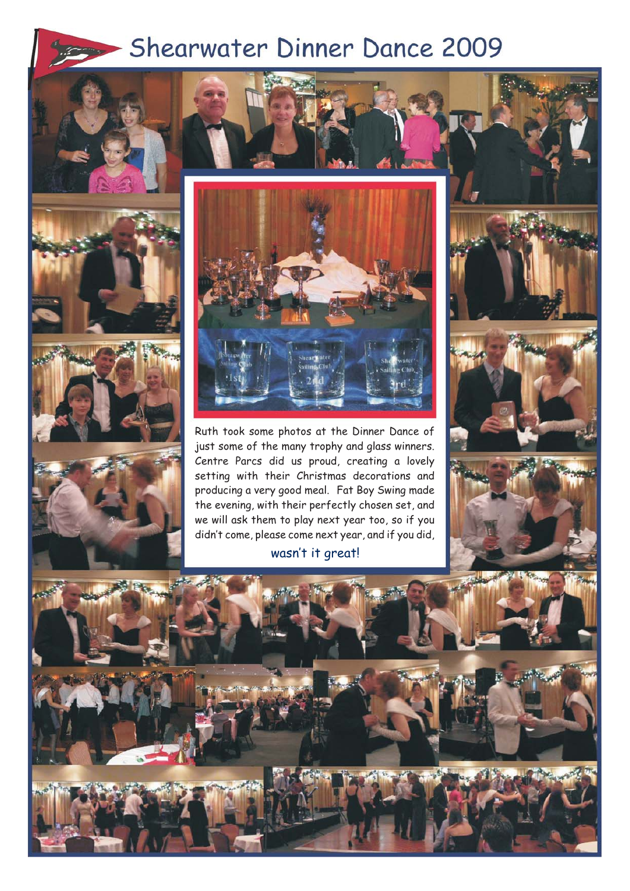### Shearwater Dinner Dance 2009 **CONTRACTOR**









Ruth took some photos at the Dinner Dance of just some of the many trophy and glass winners. Centre Parcs did us proud, creating a lovely setting with their Christmas decorations and producing a very good meal. Fat Boy Swing made the evening, with their perfectly chosen set, and we will ask them to play next year too, so if you didn't come, please come next year, and if you did,

### wasn't it great!